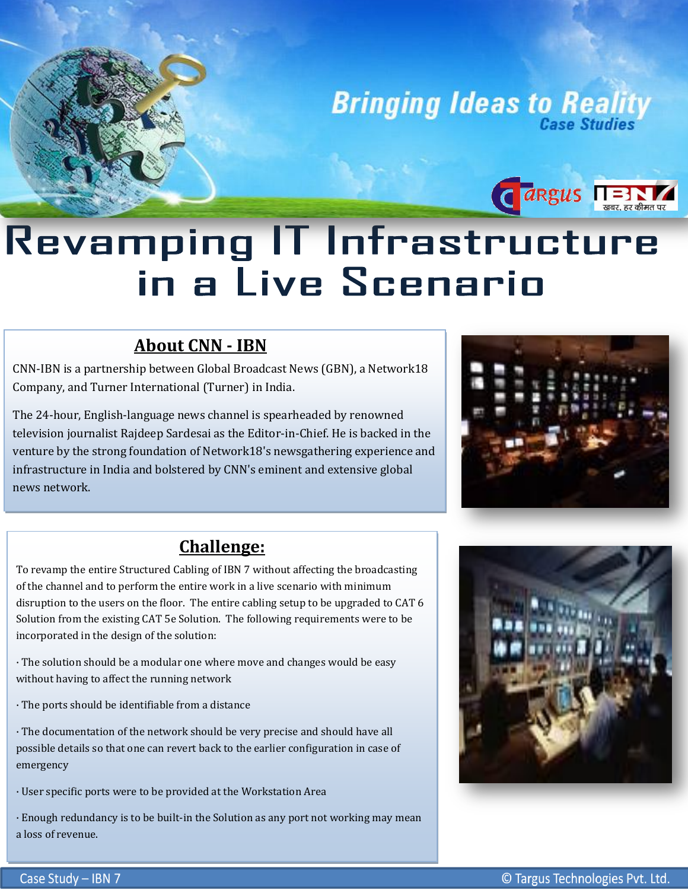**Bringing Ideas to Reality** 

## Revamping IT Infrastructure in a Live Scenario

## **About CNN - IBN**

CNN-IBN is a partnership between Global Broadcast News (GBN), a Network18 Company, and Turner International (Turner) in India.

 infrastructure in India and bolstered by CNN's eminent and extensive global The 24-hour, English-language news channel is spearheaded by renowned television journalist Rajdeep Sardesai as the Editor-in-Chief. He is backed in the venture by the strong foundation of Network18's newsgathering experience and news network.



**CARGUS NEWS REPAIRING** 

## **Challenge:**

To revamp the entire Structured Cabling of IBN 7 without affecting the broadcasting of the channel and to perform the entire work in a live scenario with minimum disruption to the users on the floor. The entire cabling setup to be upgraded to CAT 6 Solution from the existing CAT 5e Solution. The following requirements were to be incorporated in the design of the solution:

· The solution should be a modular one where move and changes would be easy without having to affect the running network

· The ports should be identifiable from a distance

· The documentation of the network should be very precise and should have all possible details so that one can revert back to the earlier configuration in case of emergency

· User specific ports were to be provided at the Workstation Area

 · Enough redundancy is to be built-in the Solution as any port not working may mean a loss of revenue.